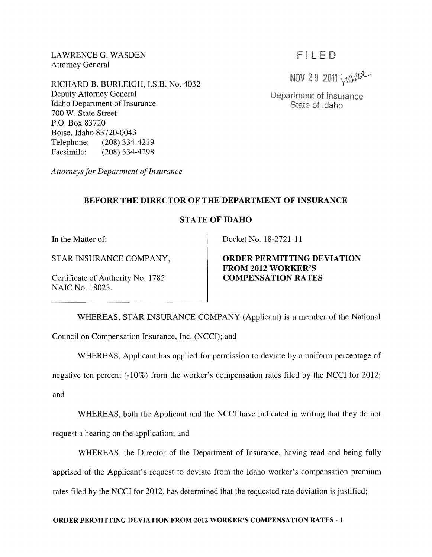LAWRENCE G. WASDEN Attorney General

RICHARD B. BURLEIGH, I.S.B. No. 4032 Deputy Attorney General Idaho Department of Insurance 700 W. State Street P.O. Box 83720 Boise, Idaho 83720-0043 Telephone: (208) 334-4219 Facsimile: (208) 334-4298

*Attorneys for Department of Insurance* 

# FILED

NOV 29 2011 Will

Department of Insurance State of Idaho

# **BEFORE THE DIRECTOR OF THE DEPARTMENT OF INSURANCE**

### **STATE OF IDAHO**

**In** the Matter of:

STAR INSURANCE COMPANY,

Certificate of Authority No. 1785 NAIC No. 18023.

Docket No. 18-2721-11

# **ORDER PERMITTING DEVIATION FROM 2012 WORKER'S COMPENSATION RATES**

WHEREAS, STAR INSURANCE COMPANY (Applicant) is a member of the National Council on Compensation Insurance, Inc. (NCC!); and

WHEREAS, Applicant has applied for permission to deviate by a uniform percentage of

negative ten percent (-10%) from the worker's compensation rates filed by the NCCI for 2012;

and

WHEREAS, both the Applicant and the NCCI have indicated in writing that they do not request a hearing on the application; and

WHEREAS, the Director of the Department of Insurance, having read and being fully apprised of the Applicant's request to deviate from the Idaho worker's compensation premium rates filed by the NCCI for 2012, has determined that the requested rate deviation is justified;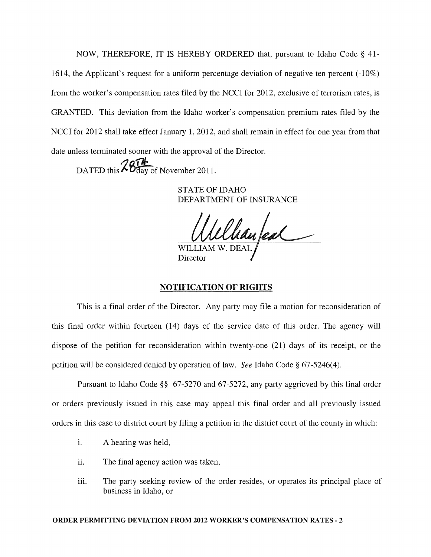NOW, THEREFORE, IT IS HEREBY ORDERED that, pursuant to Idaho Code § 41- 1614, the Applicant's request for a uniform percentage deviation of negative ten percent (-10%) from the worker's compensation rates filed by the NCCI for 2012, exclusive of terrorism rates, is GRANTED. This deviation from the Idaho worker's compensation premium rates filed by the NCCI for 2012 shall take effect January 1, 2012, and shall remain in effect for one year from that date unless terminated sooner with the approval of the Director.

*/]Qf1i.*  DATED this  $\sim Q$  day of November 2011.

> STATE OF IDAHO DEPARTMENT OF INSURANCE

Willham eal

### NOTIFICATION OF RIGHTS

This is a final order of the Director. Any party may file a motion for reconsideration of this final order within fourteen (14) days of the service date of this order. The agency will dispose of the petition for reconsideration within twenty-one (21) days of its receipt, or the petition will be considered denied by operation of law. *See* Idaho Code § 67-5246(4).

Pursuant to Idaho Code §§ 67-5270 and 67-5272, any party aggrieved by this final order or orders previously issued in this case may appeal this final order and all previously issued orders in this case to district court by filing a petition in the district court of the county in which:

- i. A hearing was held,
- ii. The final agency action was taken,
- iii. The party seeking review of the order resides, or operates its principal place of business in Idaho, or

#### ORDER PERMITTING DEVIATION FROM 2012 WORKER'S COMPENSATION RATES - 2